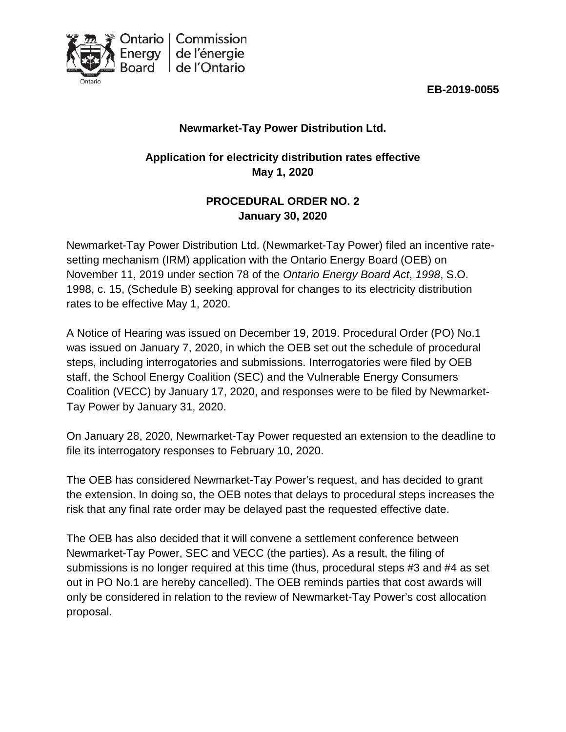



## **Newmarket-Tay Power Distribution Ltd.**

# **Application for electricity distribution rates effective May 1, 2020**

## **PROCEDURAL ORDER NO. 2 January 30, 2020**

Newmarket-Tay Power Distribution Ltd. (Newmarket-Tay Power) filed an incentive ratesetting mechanism (IRM) application with the Ontario Energy Board (OEB) on November 11, 2019 under section 78 of the *Ontario Energy Board Act*, *1998*, S.O. 1998, c. 15, (Schedule B) seeking approval for changes to its electricity distribution rates to be effective May 1, 2020.

A Notice of Hearing was issued on December 19, 2019. Procedural Order (PO) No.1 was issued on January 7, 2020, in which the OEB set out the schedule of procedural steps, including interrogatories and submissions. Interrogatories were filed by OEB staff, the School Energy Coalition (SEC) and the Vulnerable Energy Consumers Coalition (VECC) by January 17, 2020, and responses were to be filed by Newmarket-Tay Power by January 31, 2020.

On January 28, 2020, Newmarket-Tay Power requested an extension to the deadline to file its interrogatory responses to February 10, 2020.

The OEB has considered Newmarket-Tay Power's request, and has decided to grant the extension. In doing so, the OEB notes that delays to procedural steps increases the risk that any final rate order may be delayed past the requested effective date.

The OEB has also decided that it will convene a settlement conference between Newmarket-Tay Power, SEC and VECC (the parties). As a result, the filing of submissions is no longer required at this time (thus, procedural steps #3 and #4 as set out in PO No.1 are hereby cancelled). The OEB reminds parties that cost awards will only be considered in relation to the review of Newmarket-Tay Power's cost allocation proposal.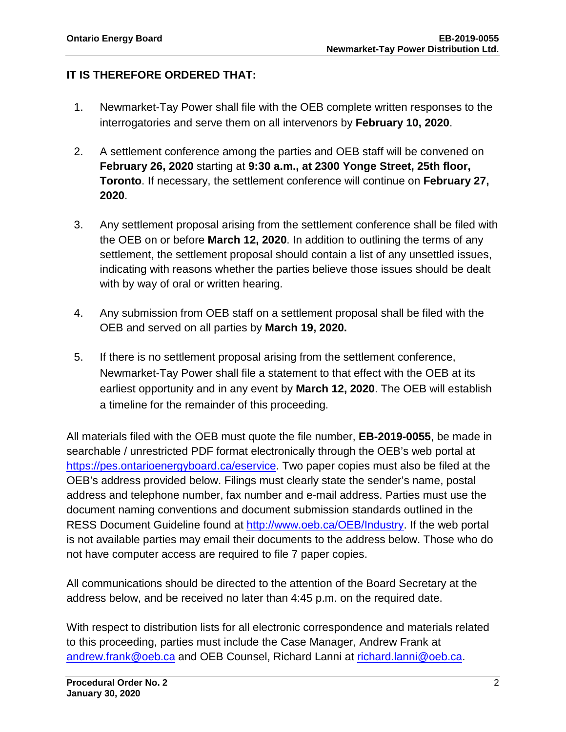### **IT IS THEREFORE ORDERED THAT:**

- 1. Newmarket-Tay Power shall file with the OEB complete written responses to the interrogatories and serve them on all intervenors by **February 10, 2020**.
- 2. A settlement conference among the parties and OEB staff will be convened on **February 26, 2020** starting at **9:30 a.m., at 2300 Yonge Street, 25th floor, Toronto**. If necessary, the settlement conference will continue on **February 27, 2020**.
- 3. Any settlement proposal arising from the settlement conference shall be filed with the OEB on or before **March 12, 2020**. In addition to outlining the terms of any settlement, the settlement proposal should contain a list of any unsettled issues, indicating with reasons whether the parties believe those issues should be dealt with by way of oral or written hearing.
- 4. Any submission from OEB staff on a settlement proposal shall be filed with the OEB and served on all parties by **March 19, 2020.**
- 5. If there is no settlement proposal arising from the settlement conference, Newmarket-Tay Power shall file a statement to that effect with the OEB at its earliest opportunity and in any event by **March 12, 2020**. The OEB will establish a timeline for the remainder of this proceeding.

All materials filed with the OEB must quote the file number, **EB-2019-0055**, be made in searchable / unrestricted PDF format electronically through the OEB's web portal at https://pes.ontarioenergyboard.ca/eservice</u>. Two paper copies must also be filed at the OEB's address provided below. Filings must clearly state the sender's name, postal address and telephone number, fax number and e-mail address. Parties must use the document naming conventions and document submission standards outlined in the RESS Document Guideline found at [http://www.oeb.ca/OEB/Industry.](http://www.oeb.ca/OEB/Industry) If the web portal is not available parties may email their documents to the address below. Those who do not have computer access are required to file 7 paper copies.

All communications should be directed to the attention of the Board Secretary at the address below, and be received no later than 4:45 p.m. on the required date.

With respect to distribution lists for all electronic correspondence and materials related to this proceeding, parties must include the Case Manager, Andrew Frank at [andrew.frank@oeb.ca](mailto:andrew.frank@oeb.ca) and OEB Counsel, Richard Lanni at [richard.lanni@oeb.ca.](mailto:richard.lanni@oeb.ca)